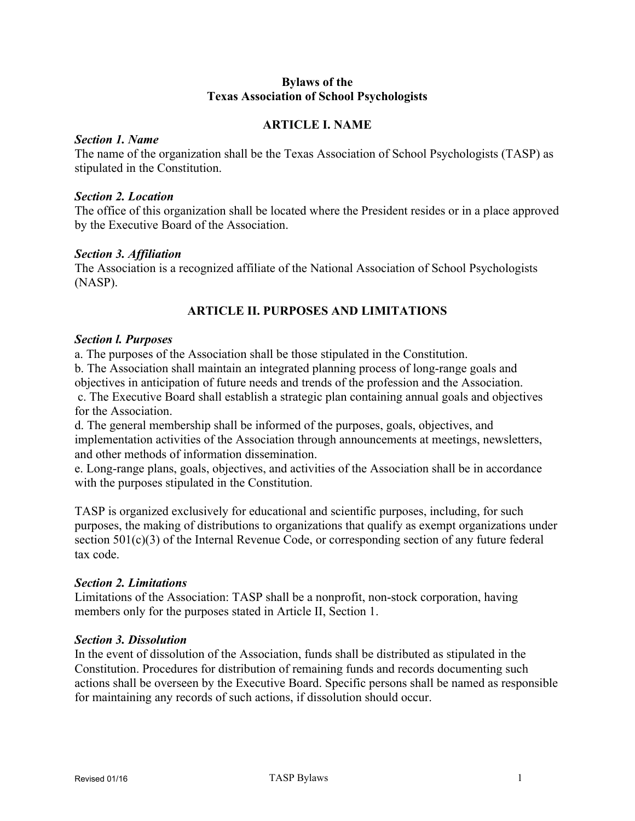## **Bylaws of the Texas Association of School Psychologists**

## **ARTICLE I. NAME**

#### *Section 1. Name*

The name of the organization shall be the Texas Association of School Psychologists (TASP) as stipulated in the Constitution.

#### *Section 2. Location*

The office of this organization shall be located where the President resides or in a place approved by the Executive Board of the Association.

#### *Section 3. Affiliation*

The Association is a recognized affiliate of the National Association of School Psychologists (NASP).

# **ARTICLE II. PURPOSES AND LIMITATIONS**

#### *Section l. Purposes*

a. The purposes of the Association shall be those stipulated in the Constitution.

b. The Association shall maintain an integrated planning process of long-range goals and objectives in anticipation of future needs and trends of the profession and the Association.

 c. The Executive Board shall establish a strategic plan containing annual goals and objectives for the Association.

d. The general membership shall be informed of the purposes, goals, objectives, and implementation activities of the Association through announcements at meetings, newsletters, and other methods of information dissemination.

e. Long-range plans, goals, objectives, and activities of the Association shall be in accordance with the purposes stipulated in the Constitution.

TASP is organized exclusively for educational and scientific purposes, including, for such purposes, the making of distributions to organizations that qualify as exempt organizations under section 501(c)(3) of the Internal Revenue Code, or corresponding section of any future federal tax code.

## *Section 2. Limitations*

Limitations of the Association: TASP shall be a nonprofit, non-stock corporation, having members only for the purposes stated in Article II, Section 1.

#### *Section 3. Dissolution*

In the event of dissolution of the Association, funds shall be distributed as stipulated in the Constitution. Procedures for distribution of remaining funds and records documenting such actions shall be overseen by the Executive Board. Specific persons shall be named as responsible for maintaining any records of such actions, if dissolution should occur.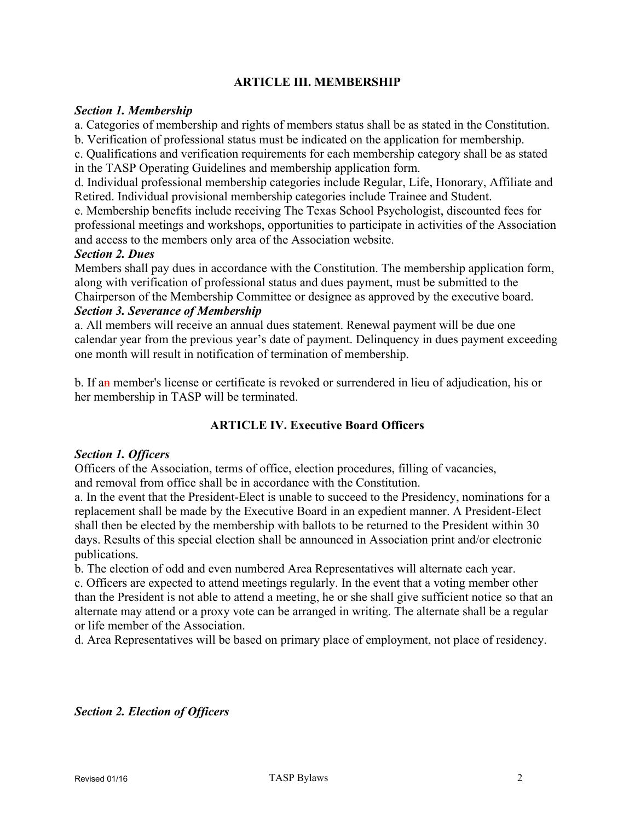## **ARTICLE III. MEMBERSHIP**

#### *Section 1. Membership*

a. Categories of membership and rights of members status shall be as stated in the Constitution.

b. Verification of professional status must be indicated on the application for membership.

c. Qualifications and verification requirements for each membership category shall be as stated in the TASP Operating Guidelines and membership application form.

d. Individual professional membership categories include Regular, Life, Honorary, Affiliate and Retired. Individual provisional membership categories include Trainee and Student.

e. Membership benefits include receiving The Texas School Psychologist, discounted fees for professional meetings and workshops, opportunities to participate in activities of the Association and access to the members only area of the Association website.

## *Section 2. Dues*

Members shall pay dues in accordance with the Constitution. The membership application form, along with verification of professional status and dues payment, must be submitted to the Chairperson of the Membership Committee or designee as approved by the executive board. *Section 3. Severance of Membership*

a. All members will receive an annual dues statement. Renewal payment will be due one calendar year from the previous year's date of payment. Delinquency in dues payment exceeding one month will result in notification of termination of membership.

b. If an member's license or certificate is revoked or surrendered in lieu of adjudication, his or her membership in TASP will be terminated.

## **ARTICLE IV. Executive Board Officers**

## *Section 1. Officers*

Officers of the Association, terms of office, election procedures, filling of vacancies, and removal from office shall be in accordance with the Constitution.

a. In the event that the President-Elect is unable to succeed to the Presidency, nominations for a replacement shall be made by the Executive Board in an expedient manner. A President-Elect shall then be elected by the membership with ballots to be returned to the President within 30 days. Results of this special election shall be announced in Association print and/or electronic publications.

b. The election of odd and even numbered Area Representatives will alternate each year.

c. Officers are expected to attend meetings regularly. In the event that a voting member other than the President is not able to attend a meeting, he or she shall give sufficient notice so that an alternate may attend or a proxy vote can be arranged in writing. The alternate shall be a regular or life member of the Association.

d. Area Representatives will be based on primary place of employment, not place of residency.

*Section 2. Election of Officers*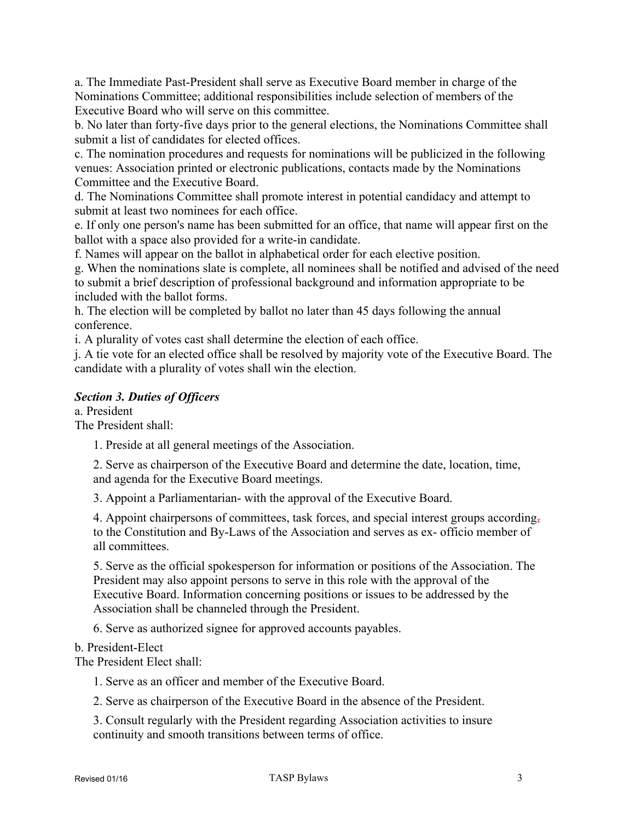a. The Immediate Past-President shall serve as Executive Board member in charge of the Nominations Committee; additional responsibilities include selection of members of the Executive Board who will serve on this committee.

b. No later than forty-five days prior to the general elections, the Nominations Committee shall submit a list of candidates for elected offices.

c. The nomination procedures and requests for nominations will be publicized in the following venues: Association printed or electronic publications, contacts made by the Nominations Committee and the Executive Board.

d. The Nominations Committee shall promote interest in potential candidacy and attempt to submit at least two nominees for each office.

e. If only one person's name has been submitted for an office, that name will appear first on the ballot with a space also provided for a write-in candidate.

f. Names will appear on the ballot in alphabetical order for each elective position.

g. When the nominations slate is complete, all nominees shall be notified and advised of the need to submit a brief description of professional background and information appropriate to be included with the ballot forms.

h. The election will be completed by ballot no later than 45 days following the annual conference.

i. A plurality of votes cast shall determine the election of each office.

j. A tie vote for an elected office shall be resolved by majority vote of the Executive Board. The candidate with a plurality of votes shall win the election.

# *Section 3. Duties of Officers*

a. President The President shall:

1. Preside at all general meetings of the Association.

2. Serve as chairperson of the Executive Board and determine the date, location, time, and agenda for the Executive Board meetings.

3. Appoint a Parliamentarian- with the approval of the Executive Board.

4. Appoint chairpersons of committees, task forces, and special interest groups according, to the Constitution and By-Laws of the Association and serves as ex- officio member of all committees.

5. Serve as the official spokesperson for information or positions of the Association. The President may also appoint persons to serve in this role with the approval of the Executive Board. Information concerning positions or issues to be addressed by the Association shall be channeled through the President.

6. Serve as authorized signee for approved accounts payables.

# b. President-Elect

The President Elect shall:

1. Serve as an officer and member of the Executive Board.

2. Serve as chairperson of the Executive Board in the absence of the President.

3. Consult regularly with the President regarding Association activities to insure continuity and smooth transitions between terms of office.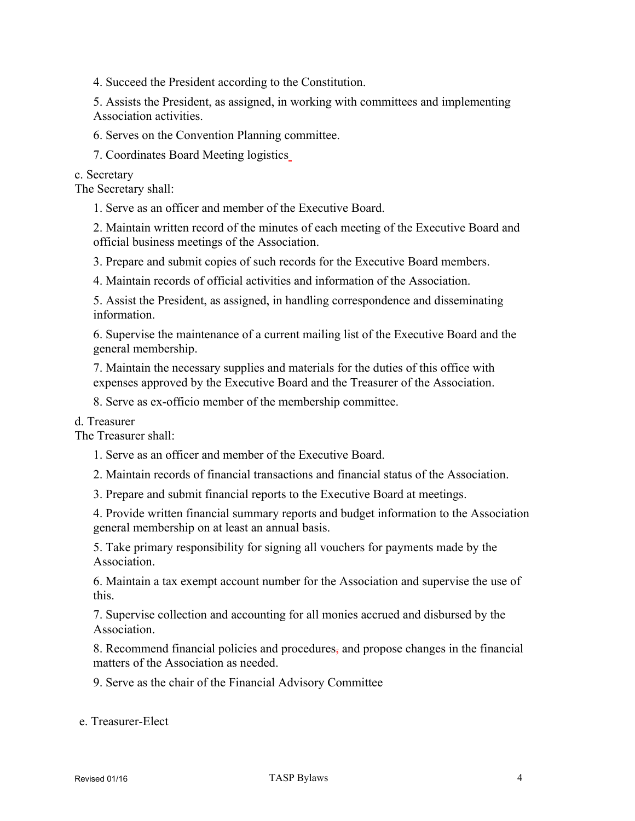4. Succeed the President according to the Constitution.

5. Assists the President, as assigned, in working with committees and implementing Association activities.

6. Serves on the Convention Planning committee.

7. Coordinates Board Meeting logistics

c. Secretary

The Secretary shall:

1. Serve as an officer and member of the Executive Board.

2. Maintain written record of the minutes of each meeting of the Executive Board and official business meetings of the Association.

3. Prepare and submit copies of such records for the Executive Board members.

4. Maintain records of official activities and information of the Association.

5. Assist the President, as assigned, in handling correspondence and disseminating information.

6. Supervise the maintenance of a current mailing list of the Executive Board and the general membership.

7. Maintain the necessary supplies and materials for the duties of this office with expenses approved by the Executive Board and the Treasurer of the Association.

8. Serve as ex-officio member of the membership committee.

d. Treasurer

The Treasurer shall:

1. Serve as an officer and member of the Executive Board.

2. Maintain records of financial transactions and financial status of the Association.

3. Prepare and submit financial reports to the Executive Board at meetings.

4. Provide written financial summary reports and budget information to the Association general membership on at least an annual basis.

5. Take primary responsibility for signing all vouchers for payments made by the Association.

6. Maintain a tax exempt account number for the Association and supervise the use of this.

7. Supervise collection and accounting for all monies accrued and disbursed by the Association.

8. Recommend financial policies and procedures, and propose changes in the financial matters of the Association as needed.

9. Serve as the chair of the Financial Advisory Committee

e. Treasurer-Elect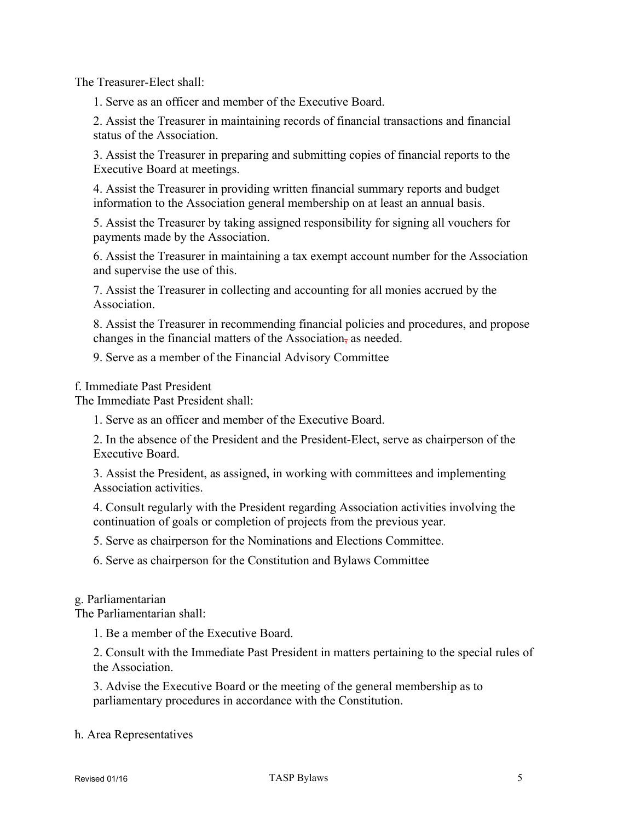The Treasurer-Elect shall:

1. Serve as an officer and member of the Executive Board.

2. Assist the Treasurer in maintaining records of financial transactions and financial status of the Association.

3. Assist the Treasurer in preparing and submitting copies of financial reports to the Executive Board at meetings.

4. Assist the Treasurer in providing written financial summary reports and budget information to the Association general membership on at least an annual basis.

5. Assist the Treasurer by taking assigned responsibility for signing all vouchers for payments made by the Association.

6. Assist the Treasurer in maintaining a tax exempt account number for the Association and supervise the use of this.

7. Assist the Treasurer in collecting and accounting for all monies accrued by the **Association** 

8. Assist the Treasurer in recommending financial policies and procedures, and propose changes in the financial matters of the Association, as needed.

9. Serve as a member of the Financial Advisory Committee

f. Immediate Past President

The Immediate Past President shall:

1. Serve as an officer and member of the Executive Board.

2. In the absence of the President and the President-Elect, serve as chairperson of the Executive Board.

3. Assist the President, as assigned, in working with committees and implementing Association activities.

4. Consult regularly with the President regarding Association activities involving the continuation of goals or completion of projects from the previous year.

5. Serve as chairperson for the Nominations and Elections Committee.

6. Serve as chairperson for the Constitution and Bylaws Committee

#### g. Parliamentarian

The Parliamentarian shall:

1. Be a member of the Executive Board.

2. Consult with the Immediate Past President in matters pertaining to the special rules of the Association.

3. Advise the Executive Board or the meeting of the general membership as to parliamentary procedures in accordance with the Constitution.

#### h. Area Representatives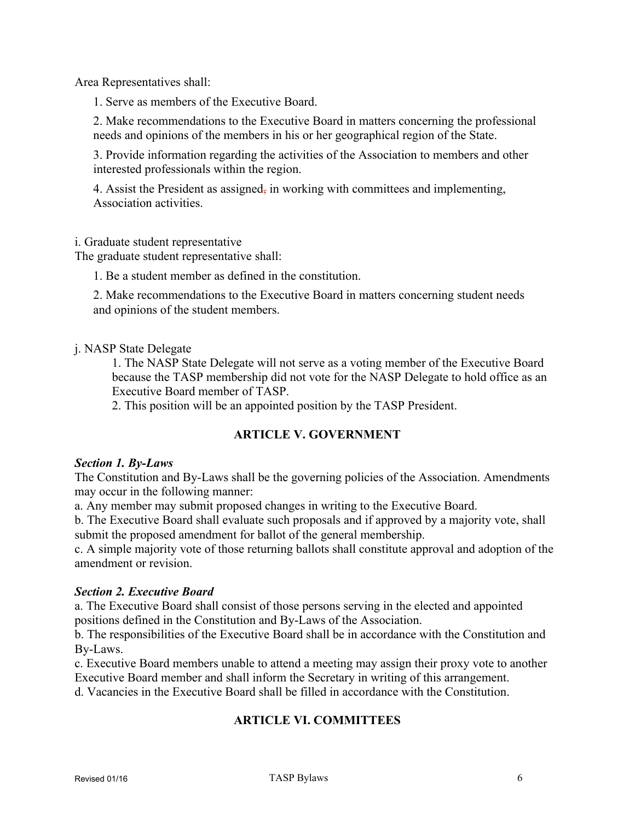Area Representatives shall:

1. Serve as members of the Executive Board.

2. Make recommendations to the Executive Board in matters concerning the professional needs and opinions of the members in his or her geographical region of the State.

3. Provide information regarding the activities of the Association to members and other interested professionals within the region.

4. Assist the President as assigned, in working with committees and implementing, Association activities.

#### i. Graduate student representative

The graduate student representative shall:

1. Be a student member as defined in the constitution.

2. Make recommendations to the Executive Board in matters concerning student needs and opinions of the student members.

#### j. NASP State Delegate

1. The NASP State Delegate will not serve as a voting member of the Executive Board because the TASP membership did not vote for the NASP Delegate to hold office as an Executive Board member of TASP. 2. This position will be an appointed position by the TASP President.

# **ARTICLE V. GOVERNMENT**

#### *Section 1. By-Laws*

The Constitution and By-Laws shall be the governing policies of the Association. Amendments may occur in the following manner:

a. Any member may submit proposed changes in writing to the Executive Board.

b. The Executive Board shall evaluate such proposals and if approved by a majority vote, shall submit the proposed amendment for ballot of the general membership.

c. A simple majority vote of those returning ballots shall constitute approval and adoption of the amendment or revision.

## *Section 2. Executive Board*

a. The Executive Board shall consist of those persons serving in the elected and appointed positions defined in the Constitution and By-Laws of the Association.

b. The responsibilities of the Executive Board shall be in accordance with the Constitution and By-Laws.

c. Executive Board members unable to attend a meeting may assign their proxy vote to another Executive Board member and shall inform the Secretary in writing of this arrangement.

d. Vacancies in the Executive Board shall be filled in accordance with the Constitution.

## **ARTICLE VI. COMMITTEES**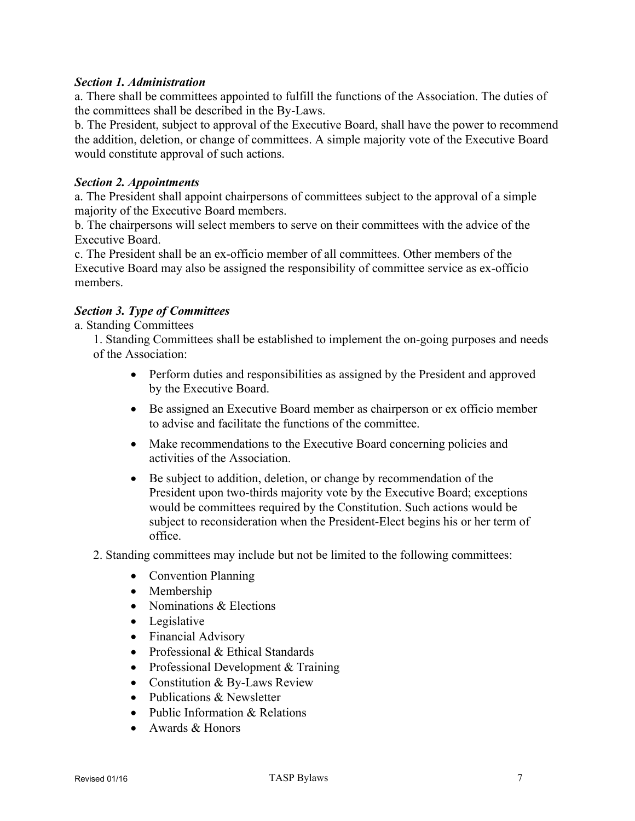## *Section 1. Administration*

a. There shall be committees appointed to fulfill the functions of the Association. The duties of the committees shall be described in the By-Laws.

b. The President, subject to approval of the Executive Board, shall have the power to recommend the addition, deletion, or change of committees. A simple majority vote of the Executive Board would constitute approval of such actions.

## *Section 2. Appointments*

a. The President shall appoint chairpersons of committees subject to the approval of a simple majority of the Executive Board members.

b. The chairpersons will select members to serve on their committees with the advice of the Executive Board.

c. The President shall be an ex-officio member of all committees. Other members of the Executive Board may also be assigned the responsibility of committee service as ex-officio members.

## *Section 3. Type of Committees*

a. Standing Committees

1. Standing Committees shall be established to implement the on-going purposes and needs of the Association:

- Perform duties and responsibilities as assigned by the President and approved by the Executive Board.
- Be assigned an Executive Board member as chairperson or ex officio member to advise and facilitate the functions of the committee.
- Make recommendations to the Executive Board concerning policies and activities of the Association.
- Be subject to addition, deletion, or change by recommendation of the President upon two-thirds majority vote by the Executive Board; exceptions would be committees required by the Constitution. Such actions would be subject to reconsideration when the President-Elect begins his or her term of office.
- 2. Standing committees may include but not be limited to the following committees:
	- Convention Planning
	- Membership
	- Nominations & Elections
	- Legislative
	- Financial Advisory
	- Professional & Ethical Standards
	- Professional Development & Training
	- Constitution & By-Laws Review
	- Publications & Newsletter
	- Public Information & Relations
	- Awards & Honors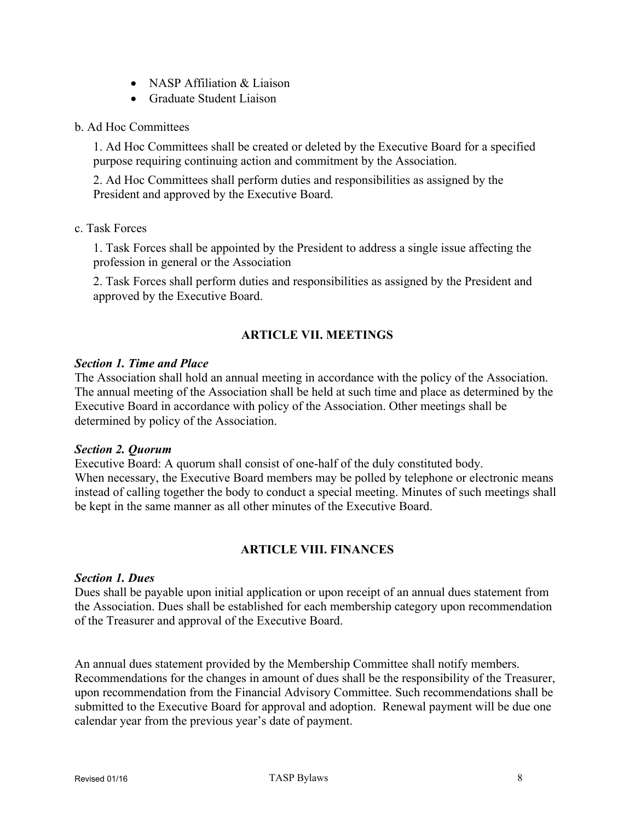- NASP Affiliation & Liaison
- Graduate Student Liaison

## b. Ad Hoc Committees

1. Ad Hoc Committees shall be created or deleted by the Executive Board for a specified purpose requiring continuing action and commitment by the Association.

2. Ad Hoc Committees shall perform duties and responsibilities as assigned by the President and approved by the Executive Board.

## c. Task Forces

1. Task Forces shall be appointed by the President to address a single issue affecting the profession in general or the Association

2. Task Forces shall perform duties and responsibilities as assigned by the President and approved by the Executive Board.

## **ARTICLE VII. MEETINGS**

#### *Section 1. Time and Place*

The Association shall hold an annual meeting in accordance with the policy of the Association. The annual meeting of the Association shall be held at such time and place as determined by the Executive Board in accordance with policy of the Association. Other meetings shall be determined by policy of the Association.

#### *Section 2. Quorum*

Executive Board: A quorum shall consist of one-half of the duly constituted body. When necessary, the Executive Board members may be polled by telephone or electronic means instead of calling together the body to conduct a special meeting. Minutes of such meetings shall be kept in the same manner as all other minutes of the Executive Board.

## **ARTICLE VIII. FINANCES**

## *Section 1. Dues*

Dues shall be payable upon initial application or upon receipt of an annual dues statement from the Association. Dues shall be established for each membership category upon recommendation of the Treasurer and approval of the Executive Board.

An annual dues statement provided by the Membership Committee shall notify members. Recommendations for the changes in amount of dues shall be the responsibility of the Treasurer, upon recommendation from the Financial Advisory Committee. Such recommendations shall be submitted to the Executive Board for approval and adoption. Renewal payment will be due one calendar year from the previous year's date of payment.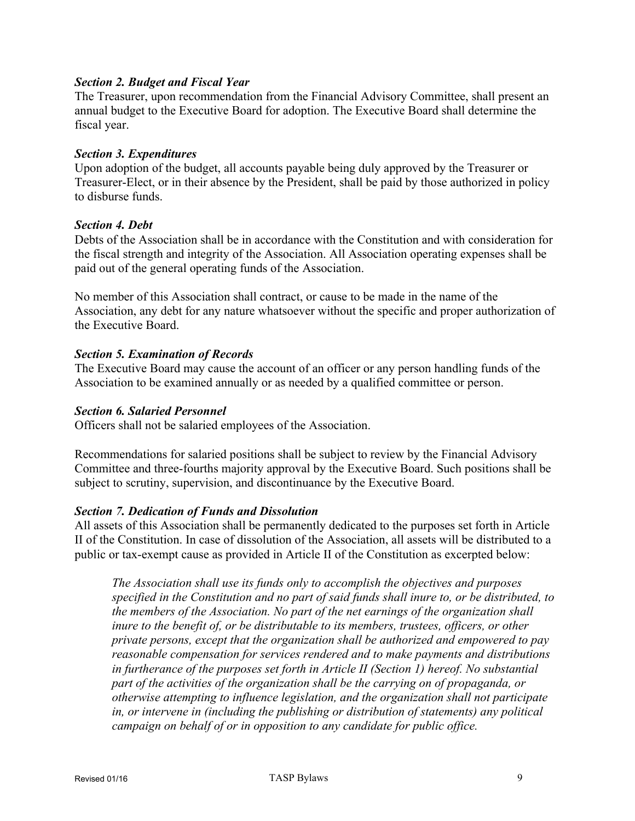## *Section 2. Budget and Fiscal Year*

The Treasurer, upon recommendation from the Financial Advisory Committee, shall present an annual budget to the Executive Board for adoption. The Executive Board shall determine the fiscal year.

## *Section 3. Expenditures*

Upon adoption of the budget, all accounts payable being duly approved by the Treasurer or Treasurer-Elect, or in their absence by the President, shall be paid by those authorized in policy to disburse funds.

#### *Section 4. Debt*

Debts of the Association shall be in accordance with the Constitution and with consideration for the fiscal strength and integrity of the Association. All Association operating expenses shall be paid out of the general operating funds of the Association.

No member of this Association shall contract, or cause to be made in the name of the Association, any debt for any nature whatsoever without the specific and proper authorization of the Executive Board.

## *Section 5. Examination of Records*

The Executive Board may cause the account of an officer or any person handling funds of the Association to be examined annually or as needed by a qualified committee or person.

#### *Section 6. Salaried Personnel*

Officers shall not be salaried employees of the Association.

Recommendations for salaried positions shall be subject to review by the Financial Advisory Committee and three-fourths majority approval by the Executive Board. Such positions shall be subject to scrutiny, supervision, and discontinuance by the Executive Board.

## *Section 7. Dedication of Funds and Dissolution*

All assets of this Association shall be permanently dedicated to the purposes set forth in Article II of the Constitution. In case of dissolution of the Association, all assets will be distributed to a public or tax-exempt cause as provided in Article II of the Constitution as excerpted below:

*The Association shall use its funds only to accomplish the objectives and purposes specified in the Constitution and no part of said funds shall inure to, or be distributed, to the members of the Association. No part of the net earnings of the organization shall inure to the benefit of, or be distributable to its members, trustees, officers, or other private persons, except that the organization shall be authorized and empowered to pay reasonable compensation for services rendered and to make payments and distributions in furtherance of the purposes set forth in Article II (Section 1) hereof. No substantial part of the activities of the organization shall be the carrying on of propaganda, or otherwise attempting to influence legislation, and the organization shall not participate in, or intervene in (including the publishing or distribution of statements) any political campaign on behalf of or in opposition to any candidate for public office.*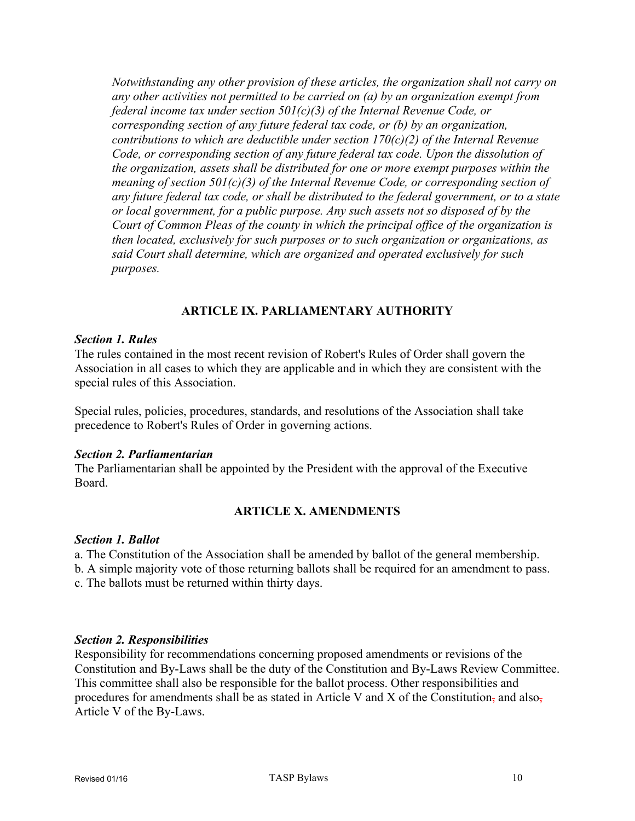*Notwithstanding any other provision of these articles, the organization shall not carry on any other activities not permitted to be carried on (a) by an organization exempt from federal income tax under section 501(c)(3) of the Internal Revenue Code, or corresponding section of any future federal tax code, or (b) by an organization, contributions to which are deductible under section 170(c)(2) of the Internal Revenue Code, or corresponding section of any future federal tax code. Upon the dissolution of the organization, assets shall be distributed for one or more exempt purposes within the meaning of section 501(c)(3) of the Internal Revenue Code, or corresponding section of any future federal tax code, or shall be distributed to the federal government, or to a state or local government, for a public purpose. Any such assets not so disposed of by the Court of Common Pleas of the county in which the principal office of the organization is then located, exclusively for such purposes or to such organization or organizations, as said Court shall determine, which are organized and operated exclusively for such purposes.*

# **ARTICLE IX. PARLIAMENTARY AUTHORITY**

## *Section 1. Rules*

The rules contained in the most recent revision of Robert's Rules of Order shall govern the Association in all cases to which they are applicable and in which they are consistent with the special rules of this Association.

Special rules, policies, procedures, standards, and resolutions of the Association shall take precedence to Robert's Rules of Order in governing actions.

## *Section 2. Parliamentarian*

The Parliamentarian shall be appointed by the President with the approval of the Executive Board.

# **ARTICLE X. AMENDMENTS**

# *Section 1. Ballot*

a. The Constitution of the Association shall be amended by ballot of the general membership.

b. A simple majority vote of those returning ballots shall be required for an amendment to pass.

c. The ballots must be returned within thirty days.

# *Section 2. Responsibilities*

Responsibility for recommendations concerning proposed amendments or revisions of the Constitution and By-Laws shall be the duty of the Constitution and By-Laws Review Committee. This committee shall also be responsible for the ballot process. Other responsibilities and procedures for amendments shall be as stated in Article V and X of the Constitution, and also, Article V of the By-Laws.